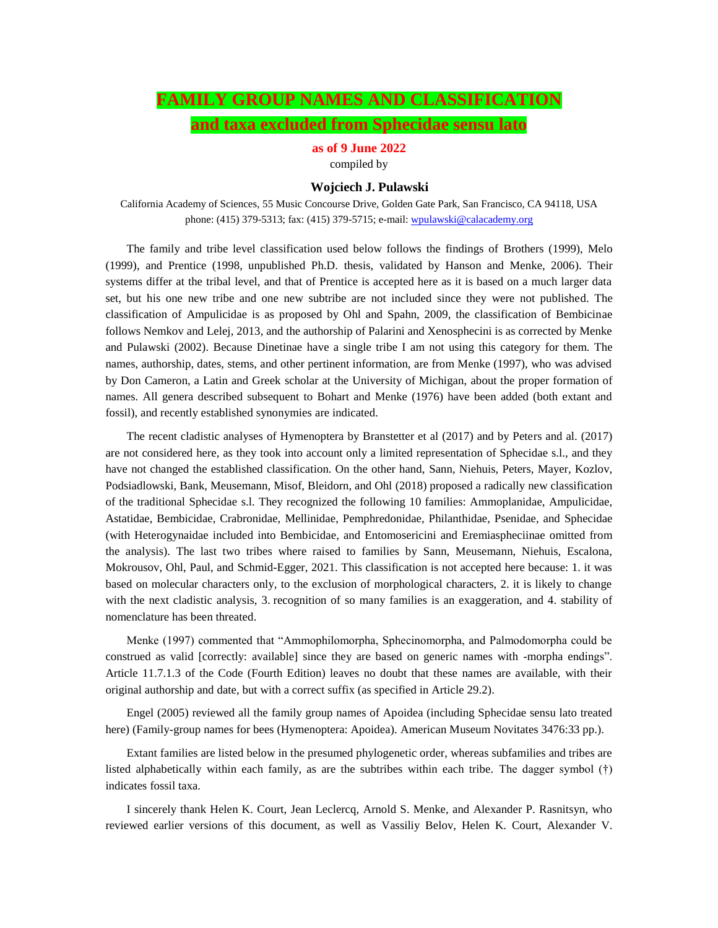# **FAMILY GROUP NAMES AND CLASSIFICATION and taxa excluded from Sphecidae sensu lato**

**as of 9 June 2022** compiled by

### **Wojciech J. Pulawski**

California Academy of Sciences, 55 Music Concourse Drive, Golden Gate Park, San Francisco, CA 94118, USA phone: (415) 379-5313; fax: (415) 379-5715; e-mail[: wpulawski@calacademy.org](mailto:wpulawski@calacademy.org)

The family and tribe level classification used below follows the findings of Brothers (1999), Melo (1999), and Prentice (1998, unpublished Ph.D. thesis, validated by Hanson and Menke, 2006). Their systems differ at the tribal level, and that of Prentice is accepted here as it is based on a much larger data set, but his one new tribe and one new subtribe are not included since they were not published. The classification of Ampulicidae is as proposed by Ohl and Spahn, 2009, the classification of Bembicinae follows Nemkov and Lelej, 2013, and the authorship of Palarini and Xenosphecini is as corrected by Menke and Pulawski (2002). Because Dinetinae have a single tribe I am not using this category for them. The names, authorship, dates, stems, and other pertinent information, are from Menke (1997), who was advised by Don Cameron, a Latin and Greek scholar at the University of Michigan, about the proper formation of names. All genera described subsequent to Bohart and Menke (1976) have been added (both extant and fossil), and recently established synonymies are indicated.

The recent cladistic analyses of Hymenoptera by Branstetter et al (2017) and by Peters and al. (2017) are not considered here, as they took into account only a limited representation of Sphecidae s.l., and they have not changed the established classification. On the other hand, Sann, Niehuis, Peters, Mayer, Kozlov, Podsiadlowski, Bank, Meusemann, Misof, Bleidorn, and Ohl (2018) proposed a radically new classification of the traditional Sphecidae s.l. They recognized the following 10 families: Ammoplanidae, Ampulicidae, Astatidae, Bembicidae, Crabronidae, Mellinidae, Pemphredonidae, Philanthidae, Psenidae, and Sphecidae (with Heterogynaidae included into Bembicidae, and Entomosericini and Eremiaspheciinae omitted from the analysis). The last two tribes where raised to families by Sann, Meusemann, Niehuis, Escalona, Mokrousov, Ohl, Paul, and Schmid-Egger, 2021. This classification is not accepted here because: 1. it was based on molecular characters only, to the exclusion of morphological characters, 2. it is likely to change with the next cladistic analysis, 3. recognition of so many families is an exaggeration, and 4. stability of nomenclature has been threated.

Menke (1997) commented that "Ammophilomorpha, Sphecinomorpha, and Palmodomorpha could be construed as valid [correctly: available] since they are based on generic names with -morpha endings". Article 11.7.1.3 of the Code (Fourth Edition) leaves no doubt that these names are available, with their original authorship and date, but with a correct suffix (as specified in Article 29.2).

Engel (2005) reviewed all the family group names of Apoidea (including Sphecidae sensu lato treated here) (Family-group names for bees (Hymenoptera: Apoidea). American Museum Novitates 3476:33 pp.).

Extant families are listed below in the presumed phylogenetic order, whereas subfamilies and tribes are listed alphabetically within each family, as are the subtribes within each tribe. The dagger symbol (†) indicates fossil taxa.

I sincerely thank Helen K. Court, Jean Leclercq, Arnold S. Menke, and Alexander P. Rasnitsyn, who reviewed earlier versions of this document, as well as Vassiliy Belov, Helen K. Court, Alexander V.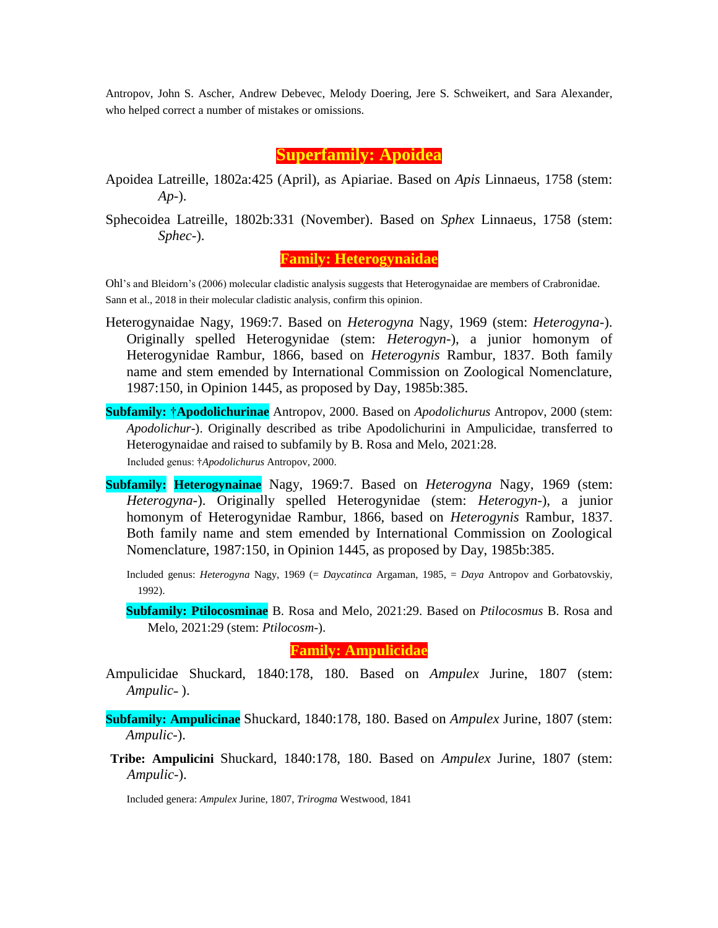Antropov, John S. Ascher, Andrew Debevec, Melody Doering, Jere S. Schweikert, and Sara Alexander, who helped correct a number of mistakes or omissions.

### **Superfamily: Apoidea**

- Apoidea Latreille, 1802a:425 (April), as Apiariae. Based on *Apis* Linnaeus, 1758 (stem: *Ap*-).
- Sphecoidea Latreille, 1802b:331 (November). Based on *Sphex* Linnaeus, 1758 (stem: *Sphec*-).

**Family: Heterogynaidae**

Ohl's and Bleidorn's (2006) molecular cladistic analysis suggests that Heterogynaidae are members of Crabronidae. Sann et al., 2018 in their molecular cladistic analysis, confirm this opinion.

- Heterogynaidae Nagy, 1969:7. Based on *Heterogyna* Nagy, 1969 (stem: *Heterogyna-*). Originally spelled Heterogynidae (stem: *Heterogyn*-), a junior homonym of Heterogynidae Rambur, 1866, based on *Heterogynis* Rambur, 1837. Both family name and stem emended by International Commission on Zoological Nomenclature, 1987:150, in Opinion 1445, as proposed by Day, 1985b:385.
- **Subfamily:** †**Apodolichurinae** Antropov, 2000. Based on *Apodolichurus* Antropov, 2000 (stem: *Apodolichur*-). Originally described as tribe Apodolichurini in Ampulicidae, transferred to Heterogynaidae and raised to subfamily by B. Rosa and Melo, 2021:28. Included genus: †*Apodolichurus* Antropov, 2000.
- **Subfamily: Heterogynainae** Nagy, 1969:7. Based on *Heterogyna* Nagy, 1969 (stem: *Heterogyna-*). Originally spelled Heterogynidae (stem: *Heterogyn*-), a junior homonym of Heterogynidae Rambur, 1866, based on *Heterogynis* Rambur, 1837. Both family name and stem emended by International Commission on Zoological Nomenclature, 1987:150, in Opinion 1445, as proposed by Day, 1985b:385.

Included genus: *Heterogyna* Nagy, 1969 (= *Daycatinca* Argaman, 1985, = *Daya* Antropov and Gorbatovskiy, 1992).

**Subfamily: Ptilocosminae** B. Rosa and Melo, 2021:29. Based on *Ptilocosmus* B. Rosa and Melo, 2021:29 (stem: *Ptilocosm-*).

# **Family: Ampulicidae**

Ampulicidae Shuckard, 1840:178, 180. Based on *Ampulex* Jurine, 1807 (stem: *Ampulic*˗ ).

**Subfamily: Ampulicinae** Shuckard, 1840:178, 180. Based on *Ampulex* Jurine, 1807 (stem: *Ampulic*-).

**Tribe: Ampulicini** Shuckard, 1840:178, 180. Based on *Ampulex* Jurine, 1807 (stem: *Ampulic*-).

Included genera: *Ampulex* Jurine, 1807, *Trirogma* Westwood, 1841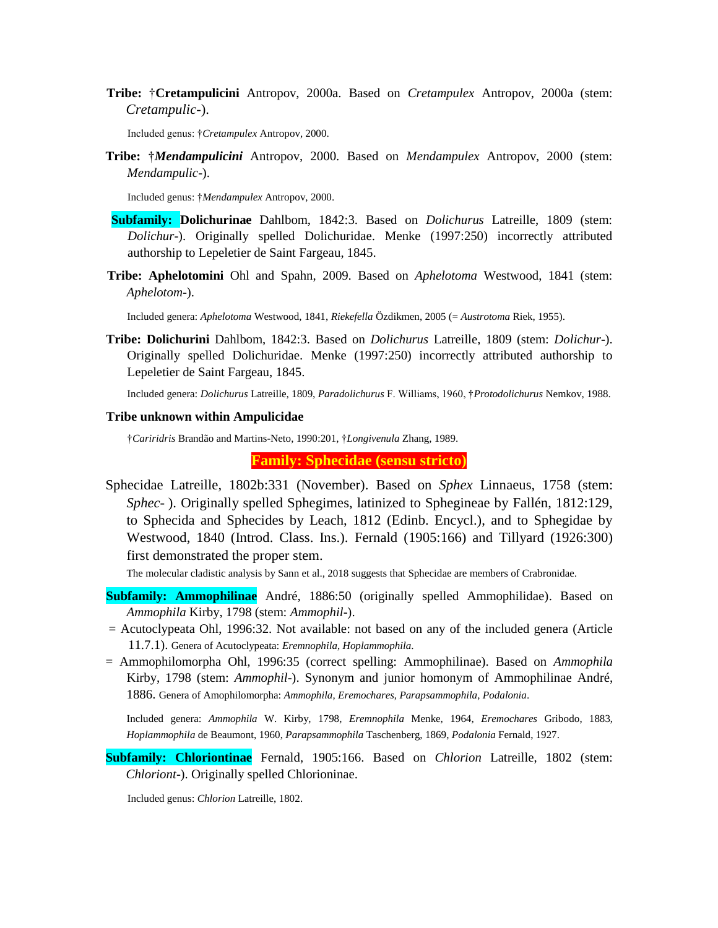**Tribe:** †**Cretampulicini** Antropov, 2000a. Based on *Cretampulex* Antropov, 2000a (stem: *Cretampulic*-).

Included genus: †*Cretampulex* Antropov, 2000.

**Tribe:** †*Mendampulicini* Antropov, 2000. Based on *Mendampulex* Antropov, 2000 (stem: *Mendampulic*-).

Included genus: †*Mendampulex* Antropov, 2000.

- **Subfamily: Dolichurinae** Dahlbom, 1842:3. Based on *Dolichurus* Latreille, 1809 (stem: *Dolichur*-). Originally spelled Dolichuridae. Menke (1997:250) incorrectly attributed authorship to Lepeletier de Saint Fargeau, 1845.
- **Tribe: Aphelotomini** Ohl and Spahn, 2009. Based on *Aphelotoma* Westwood, 1841 (stem: *Aphelotom-*).

Included genera: *Aphelotoma* Westwood, 1841, *Riekefella* Özdikmen, 2005 (= *Austrotoma* Riek, 1955).

**Tribe: Dolichurini** Dahlbom, 1842:3. Based on *Dolichurus* Latreille, 1809 (stem: *Dolichur*-). Originally spelled Dolichuridae. Menke (1997:250) incorrectly attributed authorship to Lepeletier de Saint Fargeau, 1845.

Included genera: *Dolichurus* Latreille, 1809, *Paradolichurus* F. Williams, 1960, †*Protodolichurus* Nemkov, 1988.

#### **Tribe unknown within Ampulicidae**

†*Cariridris* Brandão and Martins-Neto, 1990:201, †*Longivenula* Zhang, 1989.

**Family: Sphecidae (sensu stricto)**

Sphecidae Latreille, 1802b:331 (November). Based on *Sphex* Linnaeus, 1758 (stem: *Sphec*- ). Originally spelled Sphegimes, latinized to Sphegineae by Fallén, 1812:129, to Sphecida and Sphecides by Leach, 1812 (Edinb. Encycl.), and to Sphegidae by Westwood, 1840 (Introd. Class. Ins.). Fernald (1905:166) and Tillyard (1926:300) first demonstrated the proper stem.

The molecular cladistic analysis by Sann et al., 2018 suggests that Sphecidae are members of Crabronidae.

- **Subfamily: Ammophilinae** André, 1886:50 (originally spelled Ammophilidae). Based on *Ammophila* Kirby, 1798 (stem: *Ammophil*-).
- $=$  Acutoclypeata Ohl, 1996:32. Not available: not based on any of the included genera (Article 11.7.1). Genera of Acutoclypeata: *Eremnophila*, *Hoplammophila*.
- = Ammophilomorpha Ohl, 1996:35 (correct spelling: Ammophilinae). Based on *Ammophila* Kirby, 1798 (stem: *Ammophil*-). Synonym and junior homonym of Ammophilinae André, 1886. Genera of Amophilomorpha: *Ammophila*, *Eremochares*, *Parapsammophila*, *Podalonia*.

Included genera: *Ammophila* W. Kirby, 1798, *Eremnophila* Menke, 1964, *Eremochares* Gribodo, 1883, *Hoplammophila* de Beaumont, 1960, *Parapsammophila* Taschenberg, 1869, *Podalonia* Fernald, 1927.

**Subfamily: Chloriontinae** Fernald, 1905:166. Based on *Chlorion* Latreille, 1802 (stem: *Chloriont*-). Originally spelled Chlorioninae.

Included genus: *Chlorion* Latreille, 1802.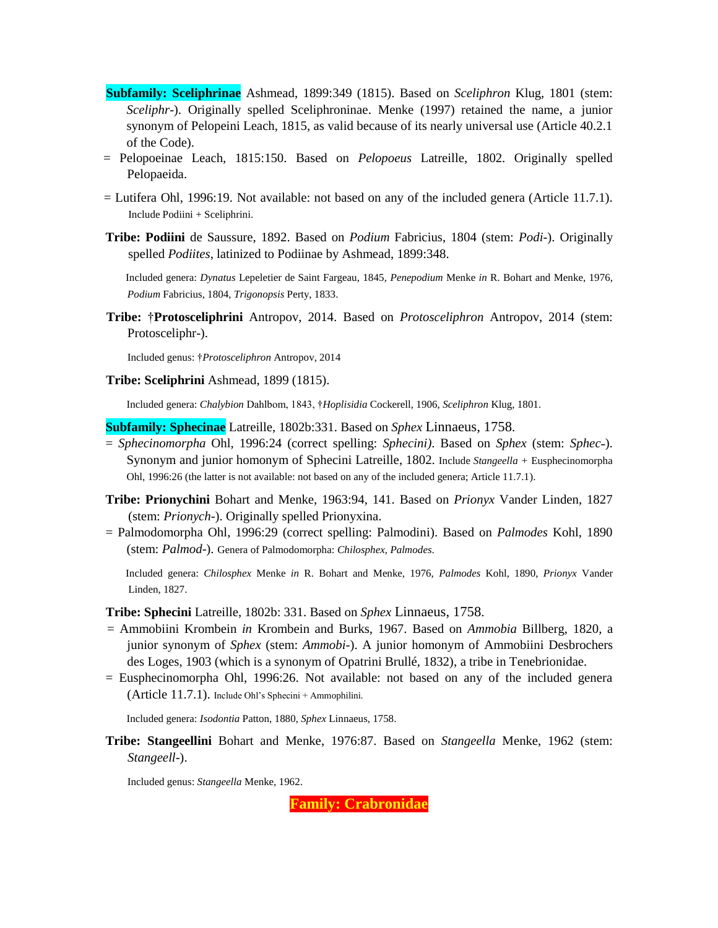- **Subfamily: Sceliphrinae** Ashmead, 1899:349 (1815). Based on *Sceliphron* Klug, 1801 (stem: *Sceliphr*-). Originally spelled Sceliphroninae. Menke (1997) retained the name, a junior synonym of Pelopeini Leach, 1815, as valid because of its nearly universal use (Article 40.2.1 of the Code).
- = Pelopoeinae Leach, 1815:150. Based on *Pelopoeus* Latreille, 1802. Originally spelled Pelopaeida.
- = Lutifera Ohl, 1996:19. Not available: not based on any of the included genera (Article 11.7.1). Include Podiini + Sceliphrini.
- **Tribe: Podiini** de Saussure, 1892. Based on *Podium* Fabricius, 1804 (stem: *Podi*-). Originally spelled *Podiites*, latinized to Podiinae by Ashmead, 1899:348.

Included genera: *Dynatus* Lepeletier de Saint Fargeau, 1845, *Penepodium* Menke *in* R. Bohart and Menke, 1976, *Podium* Fabricius, 1804, *Trigonopsis* Perty, 1833.

**Tribe:** †**Protosceliphrini** Antropov, 2014. Based on *Protosceliphron* Antropov, 2014 (stem: Protosceliphr-).

Included genus: †*Protosceliphron* Antropov, 2014

**Tribe: Sceliphrini** Ashmead, 1899 (1815).

Included genera: *Chalybion* Dahlbom, 1843, †*Hoplisidia* Cockerell, 1906, *Sceliphron* Klug, 1801.

**Subfamily: Sphecinae** Latreille, 1802b:331. Based on *Sphex* Linnaeus, 1758.

- = *Sphecinomorpha* Ohl, 1996:24 (correct spelling: *Sphecini*). Based on *Sphex* (stem: *Sphec*-). Synonym and junior homonym of Sphecini Latreille, 1802. Include *Stangeella +* Eusphecinomorpha Ohl, 1996:26 (the latter is not available: not based on any of the included genera; Article 11.7.1).
- **Tribe: Prionychini** Bohart and Menke, 1963:94, 141. Based on *Prionyx* Vander Linden, 1827 (stem: *Prionych*-). Originally spelled Prionyxina.
- = Palmodomorpha Ohl, 1996:29 (correct spelling: Palmodini). Based on *Palmodes* Kohl, 1890 (stem: *Palmod*-). Genera of Palmodomorpha: *Chilosphex*, *Palmodes*.

Included genera: *Chilosphex* Menke *in* R. Bohart and Menke, 1976, *Palmodes* Kohl, 1890, *Prionyx* Vander Linden, 1827.

**Tribe: Sphecini** Latreille, 1802b: 331. Based on *Sphex* Linnaeus, 1758.

- = Ammobiini Krombein *in* Krombein and Burks, 1967. Based on *Ammobia* Billberg, 1820, a junior synonym of *Sphex* (stem: *Ammobi-*). A junior homonym of Ammobiini Desbrochers des Loges, 1903 (which is a synonym of Opatrini Brullé, 1832), a tribe in Tenebrionidae.
- = Eusphecinomorpha Ohl, 1996:26. Not available: not based on any of the included genera (Article 11.7.1). Include Ohl's Sphecini + Ammophilini.

Included genera: *Isodontia* Patton, 1880*, Sphex* Linnaeus, 1758.

**Tribe: Stangeellini** Bohart and Menke, 1976:87. Based on *Stangeella* Menke, 1962 (stem: *Stangeell*-).

Included genus: *Stangeella* Menke, 1962.

**Family: Crabronidae**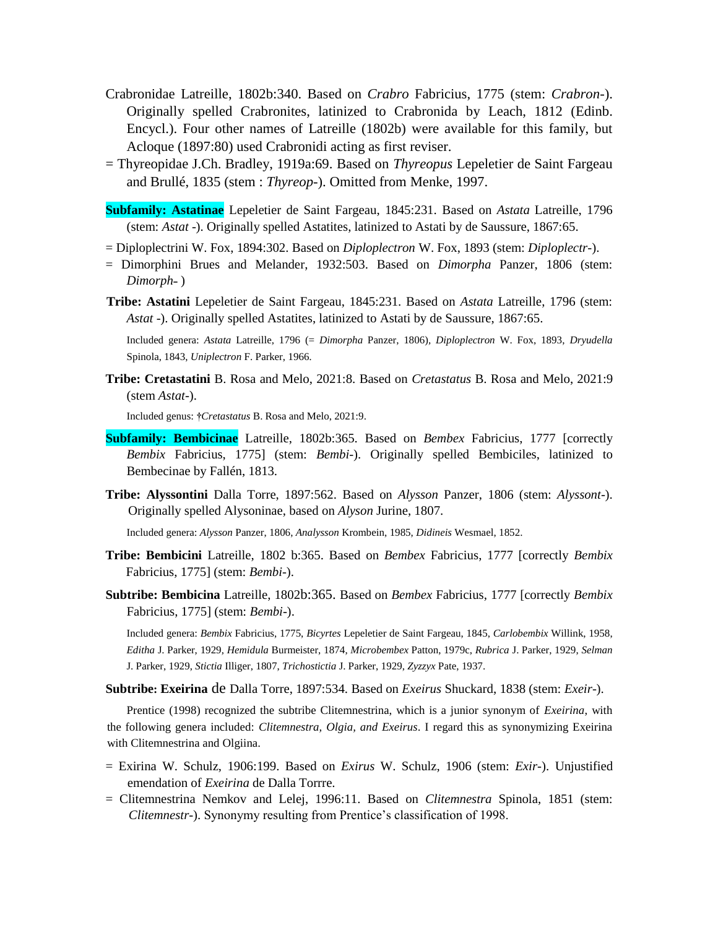- Crabronidae Latreille, 1802b:340. Based on *Crabro* Fabricius, 1775 (stem: *Crabron*-). Originally spelled Crabronites, latinized to Crabronida by Leach, 1812 (Edinb. Encycl.). Four other names of Latreille (1802b) were available for this family, but Acloque (1897:80) used Crabronidi acting as first reviser.
- = Thyreopidae J.Ch. Bradley, 1919a:69. Based on *Thyreopus* Lepeletier de Saint Fargeau and Brullé, 1835 (stem : *Thyreop-*). Omitted from Menke, 1997.
- **Subfamily: Astatinae** Lepeletier de Saint Fargeau, 1845:231. Based on *Astata* Latreille, 1796 (stem: *Astat* -). Originally spelled Astatites, latinized to Astati by de Saussure, 1867:65.
- = Diploplectrini W. Fox, 1894:302. Based on *Diploplectron* W. Fox, 1893 (stem: *Diploplectr-*).
- = Dimorphini Brues and Melander, 1932:503. Based on *Dimorpha* Panzer, 1806 (stem: *Dimorph*-)
- **Tribe: Astatini** Lepeletier de Saint Fargeau, 1845:231. Based on *Astata* Latreille, 1796 (stem: *Astat* -). Originally spelled Astatites, latinized to Astati by de Saussure, 1867:65.

Included genera: *Astata* Latreille, 1796 (= *Dimorpha* Panzer, 1806)*, Diploplectron* W. Fox, 1893, *Dryudella* Spinola, 1843, *Uniplectron* F. Parker, 1966*.*

**Tribe: Cretastatini** B. Rosa and Melo, 2021:8. Based on *Cretastatus* B. Rosa and Melo, 2021:9 (stem *Astat-*).

Included genus: **†***Cretastatus* B. Rosa and Melo, 2021:9.

- **Subfamily: Bembicinae** Latreille, 1802b:365. Based on *Bembex* Fabricius, 1777 [correctly *Bembix* Fabricius, 1775] (stem: *Bembi*-). Originally spelled Bembiciles, latinized to Bembecinae by Fallén, 1813.
- **Tribe: Alyssontini** Dalla Torre, 1897:562. Based on *Alysson* Panzer, 1806 (stem: *Alyssont*-). Originally spelled Alysoninae, based on *Alyson* Jurine, 1807.

Included genera: *Alysson* Panzer, 1806, *Analysson* Krombein, 1985, *Didineis* Wesmael, 1852.

- **Tribe: Bembicini** Latreille, 1802 b:365. Based on *Bembex* Fabricius, 1777 [correctly *Bembix* Fabricius, 1775] (stem: *Bembi*-).
- **Subtribe: Bembicina** Latreille, 1802b:365. Based on *Bembex* Fabricius, 1777 [correctly *Bembix* Fabricius, 1775] (stem: *Bembi*-).

Included genera: *Bembix* Fabricius, 1775, *Bicyrtes* Lepeletier de Saint Fargeau, 1845, *Carlobembix* Willink, 1958, *Editha* J. Parker, 1929, *Hemidula* Burmeister, 1874, *Microbembex* Patton, 1979c, *Rubrica* J. Parker, 1929, *Selman* J. Parker, 1929, *Stictia* Illiger, 1807, *Trichostictia* J. Parker, 1929, *Zyzzyx* Pate, 1937.

**Subtribe: Exeirina** de Dalla Torre, 1897:534. Based on *Exeirus* Shuckard, 1838 (stem: *Exeir*-).

Prentice (1998) recognized the subtribe Clitemnestrina, which is a junior synonym of *Exeirina*, with the following genera included: *Clitemnestra, Olgia, and Exeirus*. I regard this as synonymizing Exeirina with Clitemnestrina and Olgiina.

- = Exirina W. Schulz, 1906:199. Based on *Exirus* W. Schulz, 1906 (stem: *Exir-*). Unjustified emendation of *Exeirina* de Dalla Torrre.
- = Clitemnestrina Nemkov and Lelej, 1996:11. Based on *Clitemnestra* Spinola, 1851 (stem: *Clitemnestr*-). Synonymy resulting from Prentice's classification of 1998.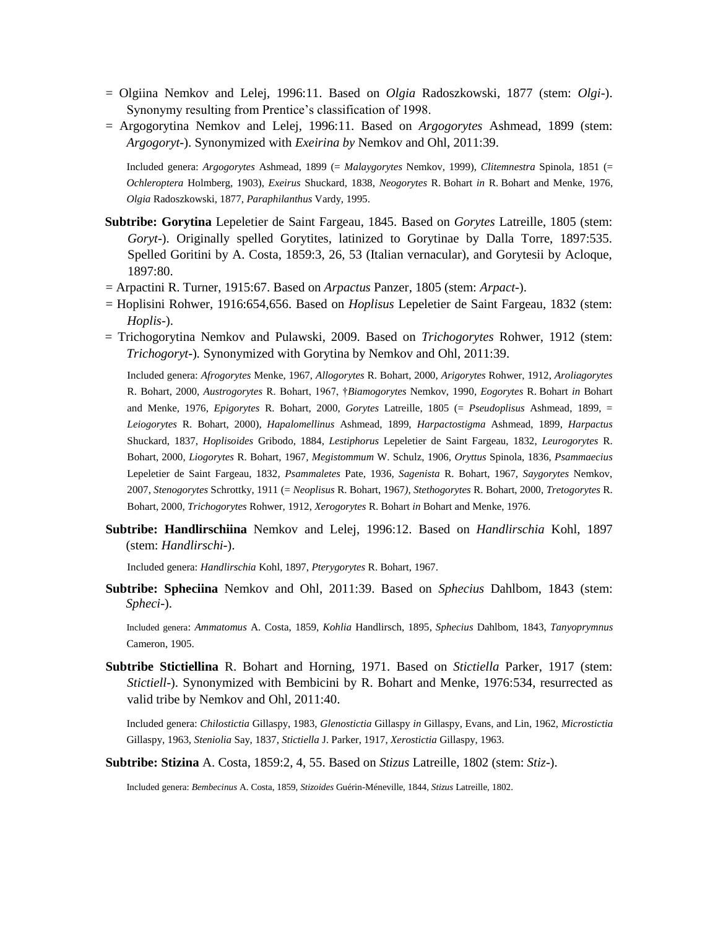- = Olgiina Nemkov and Lelej, 1996:11. Based on *Olgia* Radoszkowski, 1877 (stem: *Olgi*-). Synonymy resulting from Prentice's classification of 1998.
- = Argogorytina Nemkov and Lelej, 1996:11. Based on *Argogorytes* Ashmead, 1899 (stem: *Argogoryt*-). Synonymized with *Exeirina by* Nemkov and Ohl, 2011:39.

Included genera: *Argogorytes* Ashmead, 1899 (= *Malaygorytes* Nemkov, 1999), *Clitemnestra* Spinola, 1851 (= *Ochleroptera* Holmberg, 1903), *Exeirus* Shuckard, 1838, *Neogorytes* R. Bohart *in* R. Bohart and Menke, 1976, *Olgia* Radoszkowski, 1877, *Paraphilanthus* Vardy, 1995.

- **Subtribe: Gorytina** Lepeletier de Saint Fargeau, 1845. Based on *Gorytes* Latreille, 1805 (stem: *Goryt*-). Originally spelled Gorytites, latinized to Gorytinae by Dalla Torre, 1897:535. Spelled Goritini by A. Costa, 1859:3, 26, 53 (Italian vernacular), and Gorytesii by Acloque, 1897:80.
- = Arpactini R. Turner, 1915:67. Based on *Arpactus* Panzer, 1805 (stem: *Arpact*-).
- = Hoplisini Rohwer, 1916:654,656. Based on *Hoplisus* Lepeletier de Saint Fargeau, 1832 (stem: *Hoplis*-).
- = Trichogorytina Nemkov and Pulawski, 2009. Based on *Trichogorytes* Rohwer, 1912 (stem: *Trichogoryt-*)*.* Synonymized with Gorytina by Nemkov and Ohl, 2011:39.

Included genera: *Afrogorytes* Menke, 1967, *Allogorytes* R. Bohart, 2000, *Arigorytes* Rohwer, 1912, *Aroliagorytes* R. Bohart, 2000, *Austrogorytes* R. Bohart, 1967, †*Biamogorytes* Nemkov, 1990*, Eogorytes* R. Bohart *in* Bohart and Menke, 1976, *Epigorytes* R. Bohart, 2000, *Gorytes* Latreille, 1805 (= *Pseudoplisus* Ashmead, 1899, = *Leiogorytes* R. Bohart, 2000), *Hapalomellinus* Ashmead, 1899, *Harpactostigma* Ashmead, 1899, *Harpactus* Shuckard, 1837, *Hoplisoides* Gribodo, 1884, *Lestiphorus* Lepeletier de Saint Fargeau, 1832, *Leurogorytes* R. Bohart, 2000, *Liogorytes* R. Bohart, 1967*, Megistommum* W. Schulz, 1906, *Oryttus* Spinola, 1836, *Psammaecius* Lepeletier de Saint Fargeau, 1832*, Psammaletes* Pate, 1936*, Sagenista* R. Bohart, 1967, *Saygorytes* Nemkov, 2007, *Stenogorytes* Schrottky, 1911 (= *Neoplisus* R. Bohart, 1967*)*, *Stethogorytes* R. Bohart, 2000, *Tretogorytes* R. Bohart, 2000, *Trichogorytes* Rohwer, 1912, *Xerogorytes* R. Bohart *in* Bohart and Menke, 1976.

**Subtribe: Handlirschiina** Nemkov and Lelej, 1996:12. Based on *Handlirschia* Kohl, 1897 (stem: *Handlirschi*-).

Included genera: *Handlirschia* Kohl, 1897, *Pterygorytes* R. Bohart, 1967.

**Subtribe: Spheciina** Nemkov and Ohl, 2011:39. Based on *Sphecius* Dahlbom, 1843 (stem: *Spheci*-).

Included genera: *Ammatomus* A. Costa, 1859, *Kohlia* Handlirsch, 1895, *Sphecius* Dahlbom, 1843, *Tanyoprymnus* Cameron, 1905.

**Subtribe Stictiellina** R. Bohart and Horning, 1971. Based on *Stictiella* Parker, 1917 (stem: *Stictiell*-). Synonymized with Bembicini by R. Bohart and Menke, 1976:534, resurrected as valid tribe by Nemkov and Ohl, 2011:40.

Included genera: *Chilostictia* Gillaspy, 1983, *Glenostictia* Gillaspy *in* Gillaspy, Evans, and Lin, 1962, *Microstictia* Gillaspy, 1963, *Steniolia* Say, 1837, *Stictiella* J. Parker, 1917, *Xerostictia* Gillaspy, 1963.

**Subtribe: Stizina** A. Costa, 1859:2, 4, 55. Based on *Stizus* Latreille, 1802 (stem: *Stiz*-).

Included genera: *Bembecinus* A. Costa, 1859, *Stizoides* Guérin-Méneville, 1844, *Stizus* Latreille, 1802.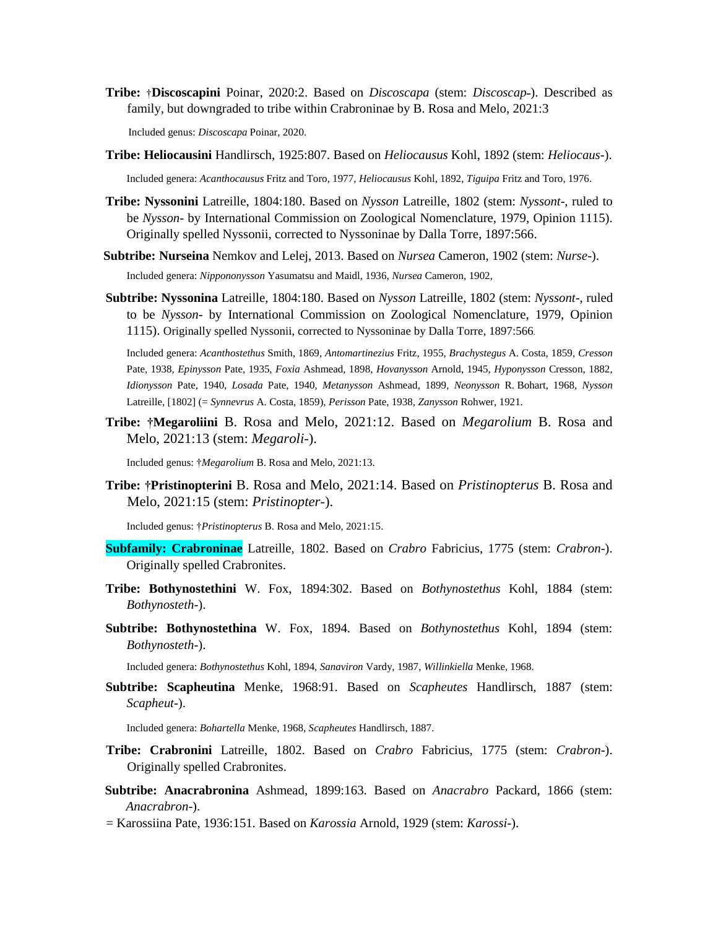**Tribe:** †**Discoscapini** Poinar, 2020:2. Based on *Discoscapa* (stem: *Discoscap˗*). Described as family, but downgraded to tribe within Crabroninae by B. Rosa and Melo, 2021:3

Included genus: *Discoscapa* Poinar, 2020.

- **Tribe: Heliocausini** Handlirsch, 1925:807. Based on *Heliocausus* Kohl, 1892 (stem: *Heliocaus*-). Included genera: *Acanthocausus* Fritz and Toro, 1977, *Heliocausus* Kohl, 1892, *Tiguipa* Fritz and Toro, 1976.
- **Tribe: Nyssonini** Latreille, 1804:180. Based on *Nysson* Latreille, 1802 (stem: *Nyssont*-, ruled to be *Nysson*- by International Commission on Zoological Nomenclature, 1979, Opinion 1115). Originally spelled Nyssonii, corrected to Nyssoninae by Dalla Torre, 1897:566.
- **Subtribe: Nurseina** Nemkov and Lelej, 2013. Based on *Nursea* Cameron, 1902 (stem: *Nurse*-). Included genera: *Nippononysson* Yasumatsu and Maidl, 1936, *Nursea* Cameron, 1902,
- **Subtribe: Nyssonina** Latreille, 1804:180. Based on *Nysson* Latreille, 1802 (stem: *Nyssont*-, ruled to be *Nysson*- by International Commission on Zoological Nomenclature, 1979, Opinion 1115). Originally spelled Nyssonii, corrected to Nyssoninae by Dalla Torre, 1897:566.

Included genera: *Acanthostethus* Smith, 1869, *Antomartinezius* Fritz, 1955, *Brachystegus* A. Costa, 1859, *Cresson* Pate, 1938, *Epinysson* Pate, 1935, *Foxia* Ashmead, 1898, *Hovanysson* Arnold, 1945, *Hyponysson* Cresson, 1882, *Idionysson* Pate, 1940, *Losada* Pate, 1940, *Metanysson* Ashmead, 1899, *Neonysson* R. Bohart, 1968, *Nysson* Latreille, [1802] (= *Synnevrus* A. Costa, 1859), *Perisson* Pate, 1938, *Zanysson* Rohwer, 1921.

**Tribe: †Megaroliini** B. Rosa and Melo, 2021:12. Based on *Megarolium* B. Rosa and Melo, 2021:13 (stem: *Megaroli-*).

Included genus: †*Megarolium* B. Rosa and Melo, 2021:13.

**Tribe: †Pristinopterini** B. Rosa and Melo, 2021:14. Based on *Pristinopterus* B. Rosa and Melo, 2021:15 (stem: *Pristinopter-*).

Included genus: †*Pristinopterus* B. Rosa and Melo, 2021:15.

- **Subfamily: Crabroninae** Latreille, 1802. Based on *Crabro* Fabricius, 1775 (stem: *Crabron*-). Originally spelled Crabronites.
- **Tribe: Bothynostethini** W. Fox, 1894:302. Based on *Bothynostethus* Kohl, 1884 (stem: *Bothynosteth*-).
- **Subtribe: Bothynostethina** W. Fox, 1894. Based on *Bothynostethus* Kohl, 1894 (stem: *Bothynosteth*-).

Included genera: *Bothynostethus* Kohl, 1894, *Sanaviron* Vardy, 1987, *Willinkiella* Menke, 1968.

**Subtribe: Scapheutina** Menke, 1968:91. Based on *Scapheutes* Handlirsch, 1887 (stem: *Scapheut*-).

Included genera: *Bohartella* Menke, 1968, *Scapheutes* Handlirsch, 1887.

- **Tribe: Crabronini** Latreille, 1802. Based on *Crabro* Fabricius, 1775 (stem: *Crabron*-). Originally spelled Crabronites.
- **Subtribe: Anacrabronina** Ashmead, 1899:163. Based on *Anacrabro* Packard, 1866 (stem: *Anacrabron*-).
- = Karossiina Pate, 1936:151. Based on *Karossia* Arnold, 1929 (stem: *Karossi*-).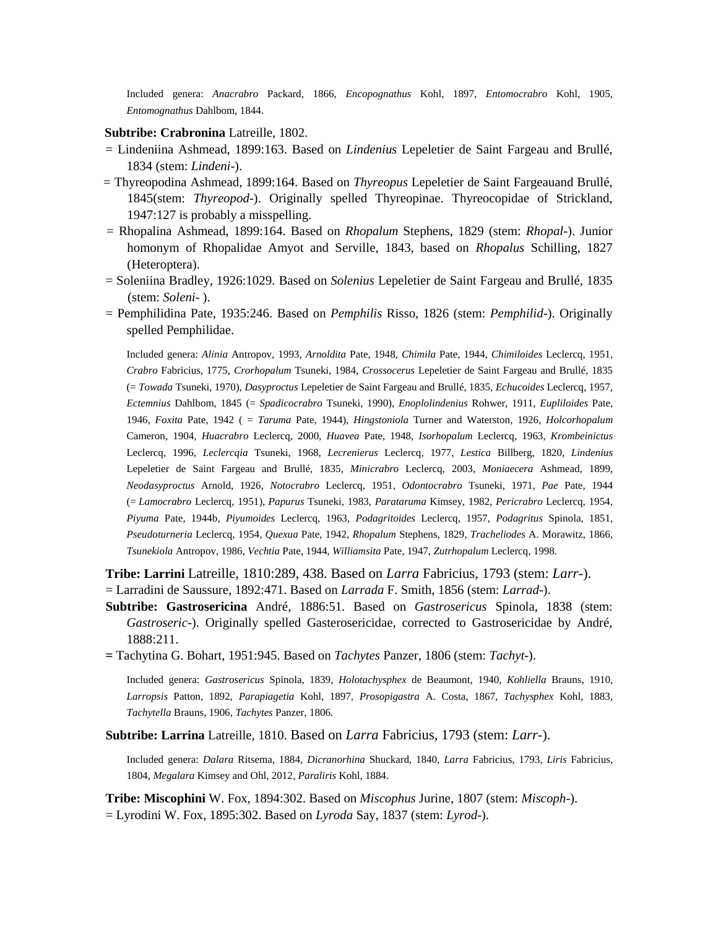Included genera: *Anacrabro* Packard, 1866, *Encopognathus* Kohl, 1897, *Entomocrabro* Kohl, 1905, *Entomognathus* Dahlbom, 1844.

#### **Subtribe: Crabronina** Latreille, 1802.

- = Lindeniina Ashmead, 1899:163. Based on *Lindenius* Lepeletier de Saint Fargeau and Brullé, 1834 (stem: *Lindeni*-).
- = Thyreopodina Ashmead, 1899:164. Based on *Thyreopus* Lepeletier de Saint Fargeauand Brullé, 1845(stem: *Thyreopod*-). Originally spelled Thyreopinae. Thyreocopidae of Strickland, 1947:127 is probably a misspelling.
- = Rhopalina Ashmead, 1899:164. Based on *Rhopalum* Stephens, 1829 (stem: *Rhopal*-). Junior homonym of Rhopalidae Amyot and Serville, 1843, based on *Rhopalus* Schilling, 1827 (Heteroptera).
- = Soleniina Bradley, 1926:1029. Based on *Solenius* Lepeletier de Saint Fargeau and Brullé, 1835 (stem: *Soleni*- ).
- = Pemphilidina Pate, 1935:246. Based on *Pemphilis* Risso, 1826 (stem: *Pemphilid*-). Originally spelled Pemphilidae.

Included genera: *Alinia* Antropov, 1993, *Arnoldita* Pate, 1948, *Chimila* Pate, 1944, *Chimiloides* Leclercq, 1951, *Crabro* Fabricius, 1775, *Crorhopalum* Tsuneki, 1984, *Crossocerus* Lepeletier de Saint Fargeau and Brullé, 1835 (= *Towada* Tsuneki, 1970), *Dasyproctus* Lepeletier de Saint Fargeau and Brullé, 1835, *Echucoides* Leclercq, 1957, *Ectemnius* Dahlbom, 1845 (= *Spadicocrabro* Tsuneki, 1990), *Enoplolindenius* Rohwer, 1911, *Eupliloides* Pate, 1946, *Foxita* Pate, 1942 ( = *Taruma* Pate, 1944), *Hingstoniola* Turner and Waterston, 1926*, Holcorhopalum* Cameron, 1904, *Huacrabro* Leclercq, 2000, *Huavea* Pate, 1948, *Isorhopalum* Leclercq, 1963, *Krombeinictus* Leclercq, 1996, *Leclercqia* Tsuneki, 1968, *Lecrenierus* Leclercq, 1977, *Lestica* Billberg, 1820, *Lindenius* Lepeletier de Saint Fargeau and Brullé, 1835, *Minicrabro* Leclercq, 2003, *Moniaecera* Ashmead, 1899, *Neodasyproctus* Arnold, 1926, *Notocrabro* Leclercq, 1951, *Odontocrabro* Tsuneki, 1971, *Pae* Pate, 1944 (= *Lamocrabro* Leclercq, 1951), *Papurus* Tsuneki, 1983, *Parataruma* Kimsey, 1982, *Pericrabro* Leclercq, 1954, *Piyuma* Pate, 1944b, *Piyumoides* Leclercq, 1963, *Podagritoides* Leclercq, 1957, *Podagritus* Spinola, 1851, *Pseudoturneria* Leclercq, 1954, *Quexua* Pate, 1942, *Rhopalum* Stephens, 1829, *Tracheliodes* A. Morawitz, 1866, *Tsunekiola* Antropov, 1986, *Vechtia* Pate, 1944, *Williamsita* Pate, 1947, *Zutrhopalum* Leclercq, 1998.

**Tribe: Larrini** Latreille, 1810:289, 438. Based on *Larra* Fabricius, 1793 (stem: *Larr*-).

- = Larradini de Saussure, 1892:471. Based on *Larrada* F. Smith, 1856 (stem: *Larrad*-).
- **Subtribe: Gastrosericina** André, 1886:51. Based on *Gastrosericus* Spinola, 1838 (stem: *Gastroseric*-). Originally spelled Gasterosericidae, corrected to Gastrosericidae by André, 1888:211.
- **=** Tachytina G. Bohart, 1951:945. Based on *Tachytes* Panzer, 1806 (stem: *Tachyt*-).

Included genera: *Gastrosericus* Spinola, 1839, *Holotachysphex* de Beaumont, 1940*, Kohliella* Brauns, 1910, *Larropsis* Patton, 1892, *Parapiagetia* Kohl, 1897, *Prosopigastra* A. Costa, 1867, *Tachysphex* Kohl, 1883, *Tachytella* Brauns, 1906, *Tachytes* Panzer, 1806*.*

**Subtribe: Larrina** Latreille, 1810. Based on *Larra* Fabricius, 1793 (stem: *Larr*-).

Included genera: *Dalara* Ritsema, 1884, *Dicranorhina* Shuckard, 1840, *Larra* Fabricius, 1793, *Liris* Fabricius, 1804, *Megalara* Kimsey and Ohl, 2012, *Paraliris* Kohl, 1884.

**Tribe: Miscophini** W. Fox, 1894:302. Based on *Miscophus* Jurine, 1807 (stem: *Miscoph*-). = Lyrodini W. Fox, 1895:302. Based on *Lyroda* Say, 1837 (stem: *Lyrod*-).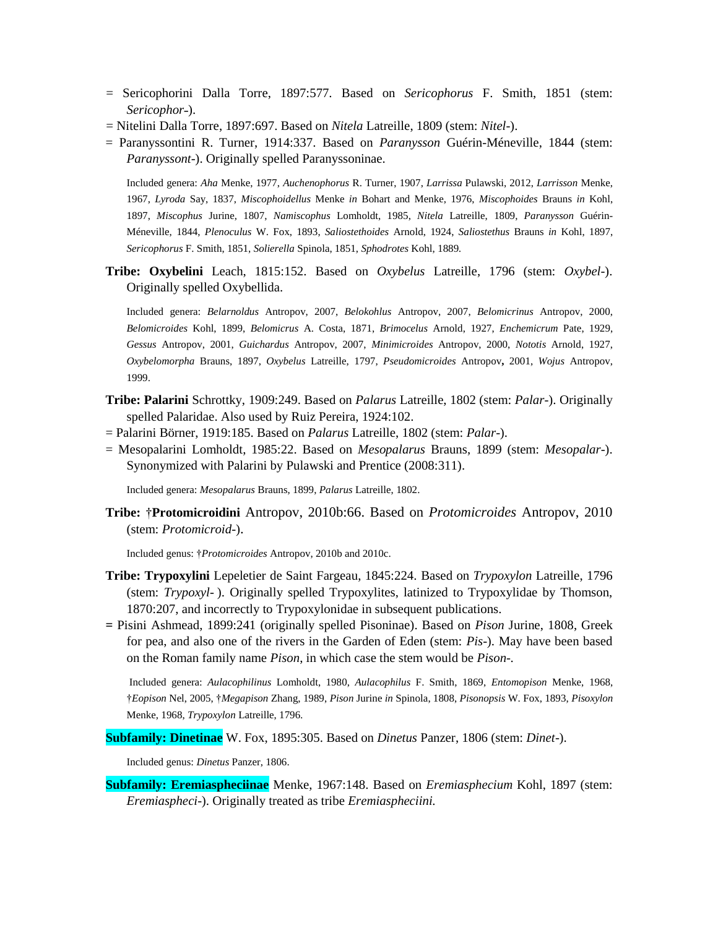- = Sericophorini Dalla Torre, 1897:577. Based on *Sericophorus* F. Smith, 1851 (stem: *Sericophor*˗).
- = Nitelini Dalla Torre, 1897:697. Based on *Nitela* Latreille, 1809 (stem: *Nitel*-).
- = Paranyssontini R. Turner, 1914:337. Based on *Paranysson* Guérin-Méneville, 1844 (stem: *Paranyssont*-). Originally spelled Paranyssoninae*.*

Included genera: *Aha* Menke, 1977, *Auchenophorus* R. Turner, 1907, *Larrissa* Pulawski, 2012, *Larrisson* Menke, 1967, *Lyroda* Say, 1837, *Miscophoidellus* Menke *in* Bohart and Menke, 1976, *Miscophoides* Brauns *in* Kohl, 1897, *Miscophus* Jurine, 1807, *Namiscophus* Lomholdt, 1985, *Nitela* Latreille, 1809, *Paranysson* Guérin-Méneville, 1844, *Plenoculus* W. Fox, 1893, *Saliostethoides* Arnold, 1924, *Saliostethus* Brauns *in* Kohl, 1897, *Sericophorus* F. Smith, 1851, *Solierella* Spinola, 1851, *Sphodrotes* Kohl, 1889*.*

**Tribe: Oxybelini** Leach, 1815:152. Based on *Oxybelus* Latreille, 1796 (stem: *Oxybel*-). Originally spelled Oxybellida.

Included genera: *Belarnoldus* Antropov, 2007, *Belokohlus* Antropov, 2007, *Belomicrinus* Antropov, 2000, *Belomicroides* Kohl, 1899, *Belomicrus* A. Costa, 1871, *Brimocelus* Arnold, 1927, *Enchemicrum* Pate, 1929, *Gessus* Antropov, 2001, *Guichardus* Antropov, 2007, *Minimicroides* Antropov, 2000, *Nototis* Arnold, 1927, *Oxybelomorpha* Brauns, 1897, *Oxybelus* Latreille, 1797, *Pseudomicroides* Antropov**,** 2001, *Wojus* Antropov, 1999.

- **Tribe: Palarini** Schrottky, 1909:249. Based on *Palarus* Latreille, 1802 (stem: *Palar*-). Originally spelled Palaridae. Also used by Ruiz Pereira, 1924:102.
- = Palarini Börner, 1919:185. Based on *Palarus* Latreille, 1802 (stem: *Palar*-).
- = Mesopalarini Lomholdt, 1985:22. Based on *Mesopalarus* Brauns, 1899 (stem: *Mesopalar*-). Synonymized with Palarini by Pulawski and Prentice (2008:311).

Included genera: *Mesopalarus* Brauns, 1899, *Palarus* Latreille, 1802.

**Tribe:** †**Protomicroidini** Antropov, 2010b:66. Based on *Protomicroides* Antropov, 2010 (stem: *Protomicroid*-).

Included genus: †*Protomicroides* Antropov, 2010b and 2010c.

- **Tribe: Trypoxylini** Lepeletier de Saint Fargeau, 1845:224. Based on *Trypoxylon* Latreille, 1796 (stem: *Trypoxyl*- ). Originally spelled Trypoxylites, latinized to Trypoxylidae by Thomson, 1870:207, and incorrectly to Trypoxylonidae in subsequent publications.
- **=** Pisini Ashmead, 1899:241 (originally spelled Pisoninae). Based on *Pison* Jurine, 1808, Greek for pea, and also one of the rivers in the Garden of Eden (stem: *Pis*-). May have been based on the Roman family name *Pison*, in which case the stem would be *Pison-.*

Included genera: *Aulacophilinus* Lomholdt, 1980, *Aulacophilus* F. Smith, 1869, *Entomopison* Menke, 1968, †*Eopison* Nel, 2005, †*Megapison* Zhang, 1989, *Pison* Jurine *in* Spinola, 1808, *Pisonopsis* W. Fox, 1893, *Pisoxylon* Menke, 1968, *Trypoxylon* Latreille, 1796*.*

**Subfamily: Dinetinae** W. Fox, 1895:305. Based on *Dinetus* Panzer, 1806 (stem: *Dinet*-).

Included genus: *Dinetus* Panzer, 1806.

**Subfamily: Eremiaspheciinae** Menke, 1967:148. Based on *Eremiasphecium* Kohl, 1897 (stem: *Eremiaspheci*-). Originally treated as tribe *Eremiaspheciini.*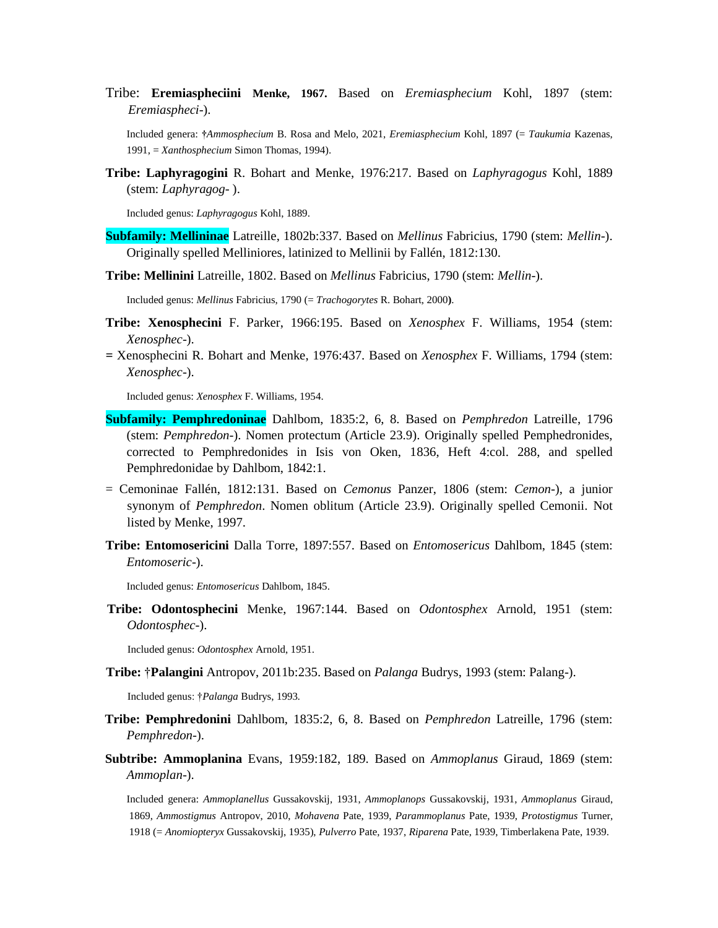Tribe: **Eremiaspheciini Menke, 1967.** Based on *Eremiasphecium* Kohl, 1897 (stem: *Eremiaspheci*-).

Included genera: **†***Ammosphecium* B. Rosa and Melo, 2021, *Eremiasphecium* Kohl, 1897 (= *Taukumia* Kazenas, 1991, = *Xanthosphecium* Simon Thomas, 1994).

**Tribe: Laphyragogini** R. Bohart and Menke, 1976:217. Based on *Laphyragogus* Kohl, 1889 (stem: *Laphyragog*- ).

Included genus: *Laphyragogus* Kohl, 1889.

- **Subfamily: Mellininae** Latreille, 1802b:337. Based on *Mellinus* Fabricius, 1790 (stem: *Mellin*-). Originally spelled Melliniores, latinized to Mellinii by Fallén, 1812:130.
- **Tribe: Mellinini** Latreille, 1802. Based on *Mellinus* Fabricius, 1790 (stem: *Mellin*-).

Included genus: *Mellinus* Fabricius, 1790 (= *Trachogorytes* R. Bohart, 2000**)**.

- **Tribe: Xenosphecini** F. Parker, 1966:195. Based on *Xenosphex* F. Williams, 1954 (stem: *Xenosphec*-).
- *=* Xenosphecini R. Bohart and Menke, 1976:437. Based on *Xenosphex* F. Williams, 1794 (stem: *Xenosphec*-).

Included genus: *Xenosphex* F. Williams, 1954.

- **Subfamily: Pemphredoninae** Dahlbom, 1835:2, 6, 8. Based on *Pemphredon* Latreille, 1796 (stem: *Pemphredon*-). Nomen protectum (Article 23.9). Originally spelled Pemphedronides, corrected to Pemphredonides in Isis von Oken, 1836, Heft 4:col. 288, and spelled Pemphredonidae by Dahlbom, 1842:1.
- = Cemoninae Fallén, 1812:131. Based on *Cemonus* Panzer, 1806 (stem: *Cemon*-), a junior synonym of *Pemphredon*. Nomen oblitum (Article 23.9). Originally spelled Cemonii. Not listed by Menke, 1997.
- **Tribe: Entomosericini** Dalla Torre, 1897:557. Based on *Entomosericus* Dahlbom, 1845 (stem: *Entomoseric*-).

Included genus: *Entomosericus* Dahlbom, 1845.

**Tribe: Odontosphecini** Menke, 1967:144. Based on *Odontosphex* Arnold, 1951 (stem: *Odontosphec*-).

Included genus: *Odontosphex* Arnold, 1951.

**Tribe:** †**Palangini** Antropov, 2011b:235. Based on *Palanga* Budrys, 1993 (stem: Palang-).

Included genus: †*Palanga* Budrys, 1993*.*

- **Tribe: Pemphredonini** Dahlbom, 1835:2, 6, 8. Based on *Pemphredon* Latreille, 1796 (stem: *Pemphredon*-).
- **Subtribe: Ammoplanina** Evans, 1959:182, 189. Based on *Ammoplanus* Giraud, 1869 (stem: *Ammoplan*-).

Included genera: *Ammoplanellus* Gussakovskij, 1931, *Ammoplanops* Gussakovskij, 1931, *Ammoplanus* Giraud, 1869, *Ammostigmus* Antropov, 2010, *Mohavena* Pate, 1939, *Parammoplanus* Pate, 1939, *Protostigmus* Turner, 1918 (= *Anomiopteryx* Gussakovskij, 1935), *Pulverro* Pate, 1937, *Riparena* Pate, 1939, Timberlakena Pate, 1939.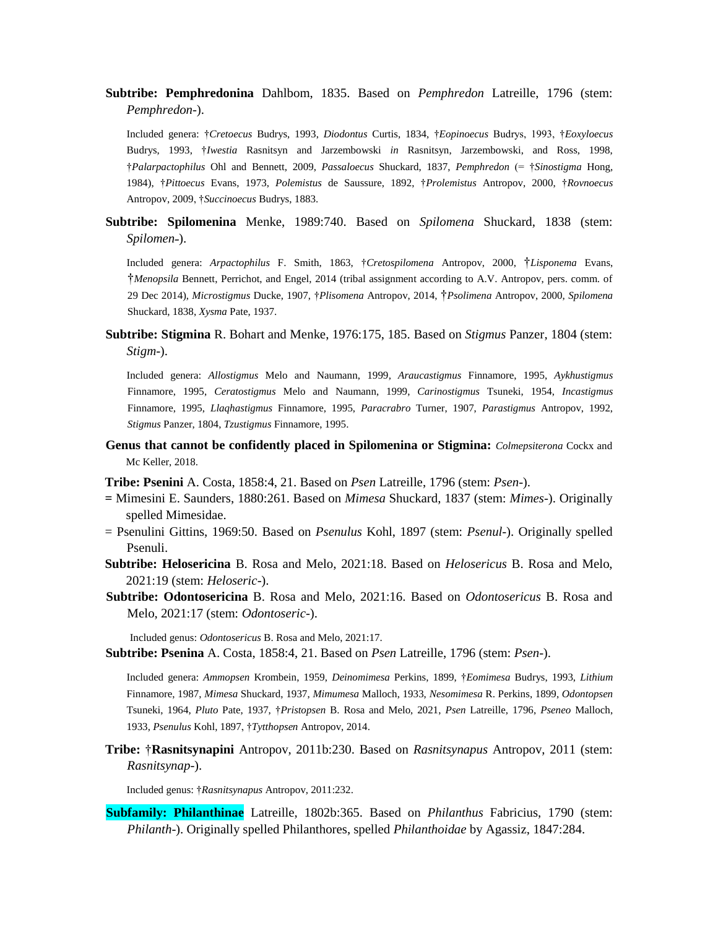**Subtribe: Pemphredonina** Dahlbom, 1835. Based on *Pemphredon* Latreille, 1796 (stem: *Pemphredon*-).

Included genera: †*Cretoecus* Budrys, 1993, *Diodontus* Curtis, 1834, †*Eopinoecus* Budrys, 1993, †*Eoxyloecus* Budrys, 1993, †*Iwestia* Rasnitsyn and Jarzembowski *in* Rasnitsyn, Jarzembowski, and Ross, 1998, †*Palarpactophilus* Ohl and Bennett, 2009, *Passaloecus* Shuckard, 1837, *Pemphredon* (= †*Sinostigma* Hong, 1984), †*Pittoecus* Evans, 1973, *Polemistus* de Saussure, 1892, †*Prolemistus* Antropov, 2000, †*Rovnoecus* Antropov, 2009, †*Succinoecus* Budrys, 1883.

**Subtribe: Spilomenina** Menke, 1989:740. Based on *Spilomena* Shuckard, 1838 (stem: *Spilomen˗*).

Included genera: *Arpactophilus* F. Smith, 1863, †*Cretospilomena* Antropov, 2000, †*Lisponema* Evans, †*Menopsila* Bennett, Perrichot, and Engel, 2014 (tribal assignment according to A.V. Antropov, pers. comm. of 29 Dec 2014), *Microstigmus* Ducke, 1907, †*Plisomena* Antropov, 2014, †*Psolimena* Antropov, 2000, *Spilomena* Shuckard, 1838, *Xysma* Pate, 1937.

**Subtribe: Stigmina** R. Bohart and Menke, 1976:175, 185. Based on *Stigmus* Panzer, 1804 (stem: *Stigm*-).

Included genera: *Allostigmus* Melo and Naumann, 1999*, Araucastigmus* Finnamore, 1995, *Aykhustigmus* Finnamore, 1995, *Ceratostigmus* Melo and Naumann, 1999, *Carinostigmus* Tsuneki, 1954, *Incastigmus* Finnamore, 1995, *Llaqhastigmus* Finnamore, 1995, *Paracrabro* Turner, 1907, *Parastigmus* Antropov, 1992, *Stigmus* Panzer, 1804, *Tzustigmus* Finnamore, 1995.

**Genus that cannot be confidently placed in Spilomenina or Stigmina:** *Colmepsiterona* Cockx and Mc Keller, 2018.

**Tribe: Psenini** A. Costa, 1858:4, 21. Based on *Psen* Latreille, 1796 (stem: *Psen*-).

- **=** Mimesini E. Saunders, 1880:261. Based on *Mimesa* Shuckard, 1837 (stem: *Mimes*-). Originally spelled Mimesidae.
- = Psenulini Gittins, 1969:50. Based on *Psenulus* Kohl, 1897 (stem: *Psenul*-). Originally spelled Psenuli.
- **Subtribe: Helosericina** B. Rosa and Melo, 2021:18. Based on *Helosericus* B. Rosa and Melo, 2021:19 (stem: *Heloseric*-).
- **Subtribe: Odontosericina** B. Rosa and Melo, 2021:16. Based on *Odontosericus* B. Rosa and Melo, 2021:17 (stem: *Odontoseric*-).

Included genus: *Odontosericus* B. Rosa and Melo, 2021:17.

**Subtribe: Psenina** A. Costa, 1858:4, 21. Based on *Psen* Latreille, 1796 (stem: *Psen*-).

Included genera: *Ammopsen* Krombein, 1959, *Deinomimesa* Perkins, 1899, †*Eomimesa* Budrys, 1993, *Lithium* Finnamore, 1987, *Mimesa* Shuckard, 1937, *Mimumesa* Malloch, 1933, *Nesomimesa* R. Perkins, 1899, *Odontopsen* Tsuneki, 1964, *Pluto* Pate, 1937, †*Pristopsen* B. Rosa and Melo, 2021, *Psen* Latreille, 1796, *Pseneo* Malloch, 1933, *Psenulus* Kohl, 1897, †*Tytthopsen* Antropov, 2014.

**Tribe:** †**Rasnitsynapini** Antropov, 2011b:230. Based on *Rasnitsynapus* Antropov, 2011 (stem: *Rasnitsynap*-).

Included genus: †*Rasnitsynapus* Antropov, 2011:232.

**Subfamily: Philanthinae** Latreille, 1802b:365. Based on *Philanthus* Fabricius, 1790 (stem: *Philanth*-). Originally spelled Philanthores, spelled *Philanthoidae* by Agassiz, 1847:284.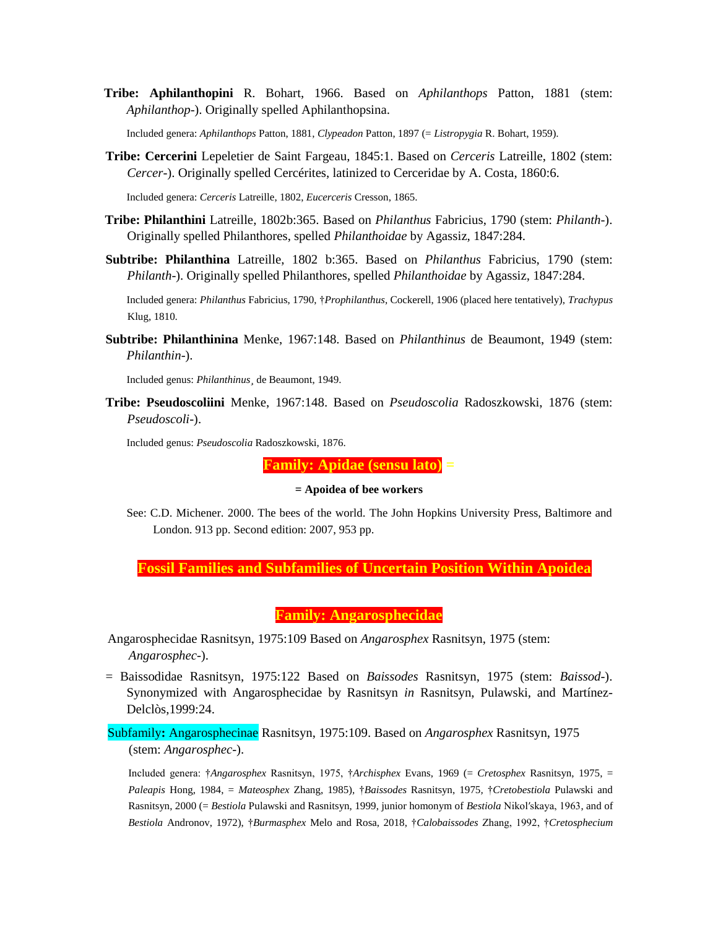**Tribe: Aphilanthopini** R. Bohart, 1966. Based on *Aphilanthops* Patton, 1881 (stem: *Aphilanthop*-). Originally spelled Aphilanthopsina.

Included genera: *Aphilanthops* Patton, 1881, *Clypeadon* Patton, 1897 (= *Listropygia* R. Bohart, 1959).

**Tribe: Cercerini** Lepeletier de Saint Fargeau, 1845:1. Based on *Cerceris* Latreille, 1802 (stem: *Cercer*-). Originally spelled Cercérites, latinized to Cerceridae by A. Costa, 1860:6.

Included genera: *Cerceris* Latreille, 1802, *Eucerceris* Cresson, 1865.

- **Tribe: Philanthini** Latreille, 1802b:365. Based on *Philanthus* Fabricius, 1790 (stem: *Philanth*-). Originally spelled Philanthores, spelled *Philanthoidae* by Agassiz, 1847:284.
- **Subtribe: Philanthina** Latreille, 1802 b:365. Based on *Philanthus* Fabricius, 1790 (stem: *Philanth*-). Originally spelled Philanthores, spelled *Philanthoidae* by Agassiz, 1847:284.

Included genera: *Philanthus* Fabricius, 1790, †*Prophilanthus*, Cockerell, 1906 (placed here tentatively), *Trachypus* Klug, 1810.

**Subtribe: Philanthinina** Menke, 1967:148. Based on *Philanthinus* de Beaumont, 1949 (stem: *Philanthin*-).

Included genus: *Philanthinus¸* de Beaumont, 1949.

**Tribe: Pseudoscoliini** Menke, 1967:148. Based on *Pseudoscolia* Radoszkowski, 1876 (stem: *Pseudoscoli*-).

Included genus: *Pseudoscolia* Radoszkowski, 1876.

**Family: Apidae (sensu lato) =**

# **= Apoidea of bee workers**

See: C.D. Michener. 2000. The bees of the world. The John Hopkins University Press, Baltimore and London. 913 pp. Second edition: 2007, 953 pp.

**Fossil Families and Subfamilies of Uncertain Position Within Apoidea**

**Family: Angarosphecidae**

- Angarosphecidae Rasnitsyn, 1975:109 Based on *Angarosphex* Rasnitsyn, 1975 (stem: *Angarosphec*-).
- = Baissodidae Rasnitsyn, 1975:122 Based on *Baissodes* Rasnitsyn, 1975 (stem: *Baissod*-). Synonymized with Angarosphecidae by Rasnitsyn *in* Rasnitsyn, Pulawski, and Martínez-Delclòs,1999:24.

Subfamily**:** Angarosphecinae Rasnitsyn, 1975:109. Based on *Angarosphex* Rasnitsyn, 1975 (stem: *Angarosphec*-).

Included genera: †*Angarosphex* Rasnitsyn, 1975, †*Archisphex* Evans, 1969 (= *Cretosphex* Rasnitsyn, 1975, = *Paleapis* Hong, 1984, = *Mateosphex* Zhang, 1985)*,* †*Baissodes* Rasnitsyn, 1975*,* †*Cretobestiola* Pulawski and Rasnitsyn, 2000 (= *Bestiola* Pulawski and Rasnitsyn, 1999, junior homonym of *Bestiola* Nikol′skaya, 1963, and of *Bestiola* Andronov, 1972), †*Burmasphex* Melo and Rosa, 2018, †*Calobaissodes* Zhang, 1992, †*Cretosphecium*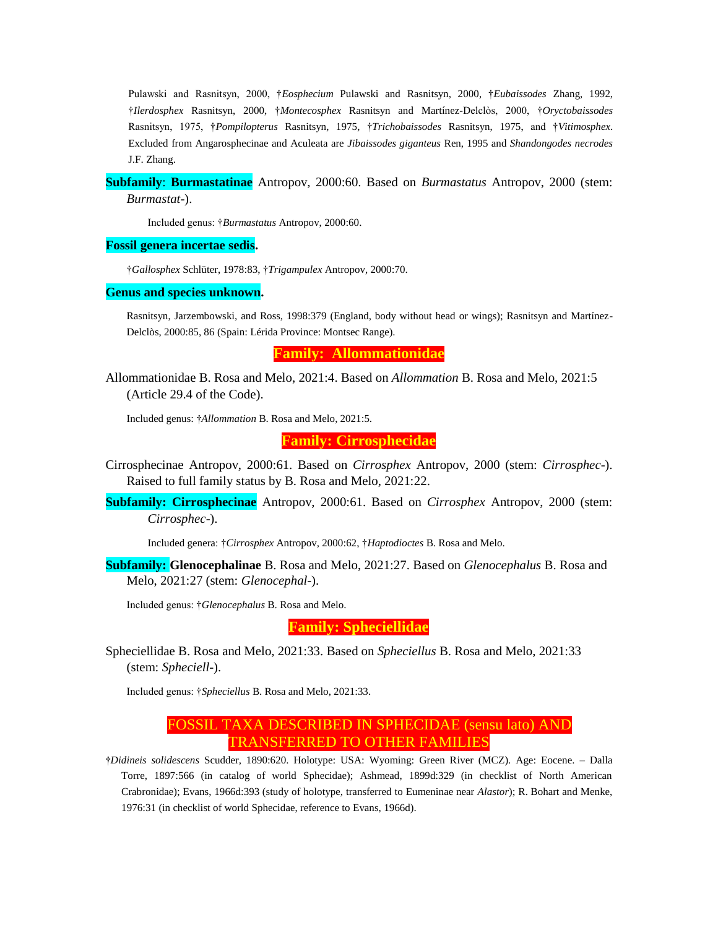Pulawski and Rasnitsyn, 2000, †*Eosphecium* Pulawski and Rasnitsyn, 2000*,* †*Eubaissodes* Zhang, 1992, †*Ilerdosphex* Rasnitsyn, 2000, †*Montecosphex* Rasnitsyn and Martínez-Delclòs, 2000, †*Oryctobaissodes* Rasnitsyn, 1975, †*Pompilopterus* Rasnitsyn, 1975, †*Trichobaissodes* Rasnitsyn, 1975, and †*Vitimosphex*. Excluded from Angarosphecinae and Aculeata are *Jibaissodes giganteus* Ren, 1995 and *Shandongodes necrodes* J.F. Zhang.

### **Subfamily**: **Burmastatinae** Antropov, 2000:60. Based on *Burmastatus* Antropov, 2000 (stem: *Burmastat*-).

Included genus: †*Burmastatus* Antropov, 2000:60.

### **Fossil genera incertae sedis.**

†*Gallosphex* Schlüter, 1978:83, †*Trigampulex* Antropov, 2000:70.

#### **Genus and species unknown.**

Rasnitsyn, Jarzembowski, and Ross, 1998:379 (England, body without head or wings); Rasnitsyn and Martínez-Delclòs, 2000:85, 86 (Spain: Lérida Province: Montsec Range).

**Family: Allommationidae**

Allommationidae B. Rosa and Melo, 2021:4. Based on *Allommation* B. Rosa and Melo, 2021:5 (Article 29.4 of the Code).

Included genus: **†***Allommation* B. Rosa and Melo, 2021:5.

**Family: Cirrosphecidae**

- Cirrosphecinae Antropov, 2000:61. Based on *Cirrosphex* Antropov, 2000 (stem: *Cirrosphec*-). Raised to full family status by B. Rosa and Melo, 2021:22.
- **Subfamily: Cirrosphecinae** Antropov, 2000:61. Based on *Cirrosphex* Antropov, 2000 (stem: *Cirrosphec*-).

Included genera: †*Cirrosphex* Antropov, 2000:62, †*Haptodioctes* B. Rosa and Melo.

**Subfamily: Glenocephalinae** B. Rosa and Melo, 2021:27. Based on *Glenocephalus* B. Rosa and Melo, 2021:27 (stem: *Glenocephal*-).

Included genus: †*Glenocephalus* B. Rosa and Melo.

#### **Family: Spheciellidae**

Spheciellidae B. Rosa and Melo, 2021:33. Based on *Spheciellus* B. Rosa and Melo, 2021:33 (stem: *Spheciell*-).

Included genus: †*Spheciellus* B. Rosa and Melo, 2021:33.

# FOSSIL TAXA DESCRIBED IN SPHECIDAE (sensu lato) AND TRANSFERRED TO OTHER FAMILIES

**†***Didineis solidescens* Scudder, 1890:620. Holotype: USA: Wyoming: Green River (MCZ). Age: Eocene. – Dalla Torre, 1897:566 (in catalog of world Sphecidae); Ashmead, 1899d:329 (in checklist of North American Crabronidae); Evans, 1966d:393 (study of holotype, transferred to Eumeninae near *Alastor*); R. Bohart and Menke, 1976:31 (in checklist of world Sphecidae, reference to Evans, 1966d).